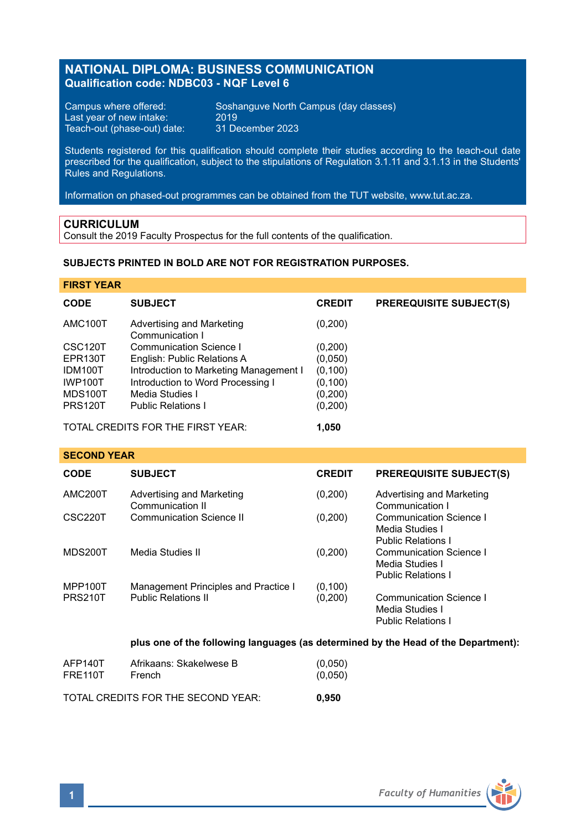# **NATIONAL DIPLOMA: BUSINESS COMMUNICATION Qualification code: NDBC03 - NQF Level 6**

Last year of new intake: 2019<br>Teach-out (phase-out) date: 31 December 2023 Teach-out (phase-out) date:

Campus where offered: Soshanguve North Campus (day classes)<br>Last year of new intake: 2019

Students registered for this qualification should complete their studies according to the teach-out date prescribed for the qualification, subject to the stipulations of Regulation 3.1.11 and 3.1.13 in the Students' Rules and Regulations.

Information on phased-out programmes can be obtained from the TUT website, www.tut.ac.za.

### **CURRICULUM**

Consult the 2019 Faculty Prospectus for the full contents of the qualification.

### **SUBJECTS PRINTED IN BOLD ARE NOT FOR REGISTRATION PURPOSES.**

### **FIRST YEAR**

| <b>CODE</b>          | <b>SUBJECT</b>                               | <b>CREDIT</b> | <b>PREREQUISITE SUBJECT(S)</b> |
|----------------------|----------------------------------------------|---------------|--------------------------------|
| AMC100T              | Advertising and Marketing<br>Communication I | (0,200)       |                                |
| CSC <sub>120</sub> T | Communication Science I                      | (0,200)       |                                |
| EPR130T              | English: Public Relations A                  | (0,050)       |                                |
| IDM100T              | Introduction to Marketing Management I       | (0, 100)      |                                |
| <b>IWP100T</b>       | Introduction to Word Processing I            | (0, 100)      |                                |
| MDS100T              | Media Studies I                              | (0,200)       |                                |
| <b>PRS120T</b>       | <b>Public Relations I</b>                    | (0,200)       |                                |
|                      |                                              |               |                                |

TOTAL CREDITS FOR THE FIRST YEAR: **1,050**

**SECOND YEAR**

| <b>CODE</b>          | <b>SUBJECT</b>                                | <b>CREDIT</b> | <b>PREREQUISITE SUBJECT(S)</b>                                                 |
|----------------------|-----------------------------------------------|---------------|--------------------------------------------------------------------------------|
| AMC <sub>200</sub> T | Advertising and Marketing<br>Communication II | (0,200)       | Advertising and Marketing<br>Communication I                                   |
| CSC220T              | Communication Science II                      | (0,200)       | Communication Science I<br>Media Studies I<br><b>Public Relations I</b>        |
| MDS200T              | Media Studies II                              | (0,200)       | Communication Science I<br>Media Studies I<br><b>Public Relations I</b>        |
| MPP100T              | Management Principles and Practice I          | (0, 100)      |                                                                                |
| <b>PRS210T</b>       | <b>Public Relations II</b>                    | (0,200)       | <b>Communication Science I</b><br>Media Studies I<br><b>Public Relations I</b> |

#### **plus one of the following languages (as determined by the Head of the Department):**

|         | TOTAL CREDITS FOR THE SECOND YEAR: | 0.950   |
|---------|------------------------------------|---------|
| AFP140T | Afrikaans: Skakelwese B            | (0,050) |
| FRE110T | French                             | (0,050) |

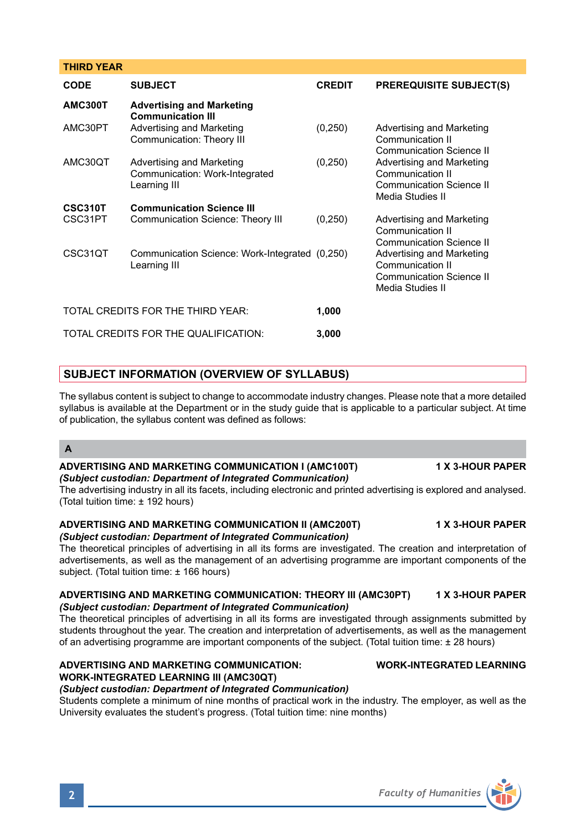#### **THIRD YEAR**

| <b>CODE</b>                       | <b>SUBJECT</b>                                                              | <b>CREDIT</b> | <b>PREREQUISITE SUBJECT(S)</b>                                                                |  |
|-----------------------------------|-----------------------------------------------------------------------------|---------------|-----------------------------------------------------------------------------------------------|--|
| <b>AMC300T</b>                    | <b>Advertising and Marketing</b><br><b>Communication III</b>                |               |                                                                                               |  |
| AMC30PT                           | Advertising and Marketing<br>Communication: Theory III                      | (0, 250)      | Advertising and Marketing<br>Communication II<br>Communication Science II                     |  |
| AMC30QT                           | Advertising and Marketing<br>Communication: Work-Integrated<br>Learning III | (0, 250)      | Advertising and Marketing<br>Communication II<br>Communication Science II<br>Media Studies II |  |
| <b>CSC310T</b>                    | <b>Communication Science III</b>                                            |               |                                                                                               |  |
| CSC31PT                           | Communication Science: Theory III                                           | (0, 250)      | Advertising and Marketing<br>Communication II<br>Communication Science II                     |  |
| CSC31QT                           | Communication Science: Work-Integrated (0,250)<br>Learning III              |               | Advertising and Marketing<br>Communication II<br>Communication Science II<br>Media Studies II |  |
| TOTAL CREDITS FOR THE THIRD YEAR: |                                                                             | 1,000         |                                                                                               |  |
|                                   | TOTAL CREDITS FOR THE QUALIFICATION:                                        | 3,000         |                                                                                               |  |

## **SUBJECT INFORMATION (OVERVIEW OF SYLLABUS)**

The syllabus content is subject to change to accommodate industry changes. Please note that a more detailed syllabus is available at the Department or in the study guide that is applicable to a particular subject. At time of publication, the syllabus content was defined as follows:

### **A**

#### **ADVERTISING AND MARKETING COMMUNICATION I (AMC100T) 1 X 3-HOUR PAPER** *(Subject custodian: Department of Integrated Communication)*

The advertising industry in all its facets, including electronic and printed advertising is explored and analysed. (Total tuition time: ± 192 hours)

# **ADVERTISING AND MARKETING COMMUNICATION II (AMC200T) 1 X 3-HOUR PAPER**

## *(Subject custodian: Department of Integrated Communication)*

The theoretical principles of advertising in all its forms are investigated. The creation and interpretation of advertisements, as well as the management of an advertising programme are important components of the subject. (Total tuition time: ± 166 hours)

### **ADVERTISING AND MARKETING COMMUNICATION: THEORY III (AMC30PT) 1 X 3-HOUR PAPER** *(Subject custodian: Department of Integrated Communication)*

The theoretical principles of advertising in all its forms are investigated through assignments submitted by students throughout the year. The creation and interpretation of advertisements, as well as the management of an advertising programme are important components of the subject. (Total tuition time: ± 28 hours)

#### **ADVERTISING AND MARKETING COMMUNICATION: WORK-INTEGRATED LEARNING WORK-INTEGRATED LEARNING III (AMC30QT)**

#### *(Subject custodian: Department of Integrated Communication)*

Students complete a minimum of nine months of practical work in the industry. The employer, as well as the University evaluates the student's progress. (Total tuition time: nine months)

# **2** *Faculty of Humanities*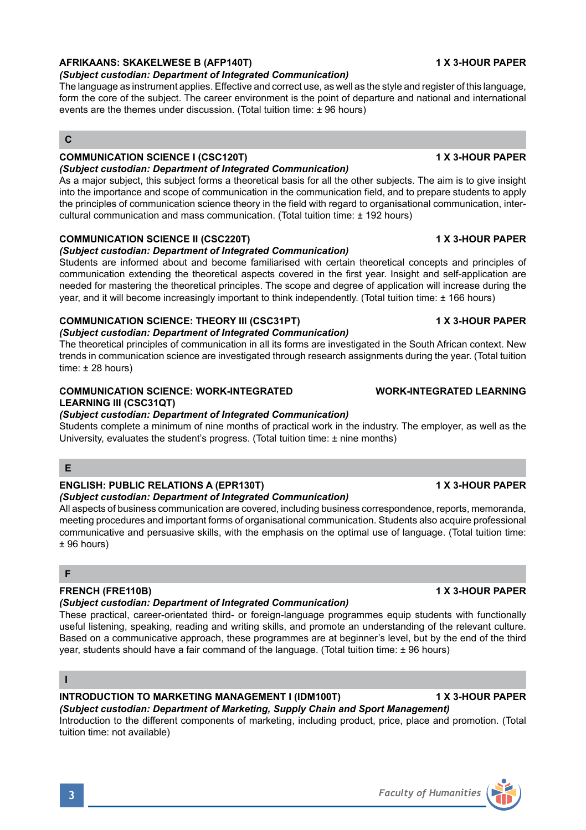# **AFRIKAANS: SKAKELWESE B (AFP140T) 1 X 3-HOUR PAPER**

#### *(Subject custodian: Department of Integrated Communication)*

The language as instrument applies. Effective and correct use, as well as the style and register of this language, form the core of the subject. The career environment is the point of departure and national and international events are the themes under discussion. (Total tuition time: ± 96 hours)

# **C**

#### **COMMUNICATION SCIENCE I (CSC120T) 1 X 3-HOUR PAPER** *(Subject custodian: Department of Integrated Communication)*

As a major subject, this subject forms a theoretical basis for all the other subjects. The aim is to give insight into the importance and scope of communication in the communication field, and to prepare students to apply the principles of communication science theory in the field with regard to organisational communication, intercultural communication and mass communication. (Total tuition time: ± 192 hours)

### **COMMUNICATION SCIENCE II (CSC220T) 1 X 3-HOUR PAPER**

#### *(Subject custodian: Department of Integrated Communication)*

Students are informed about and become familiarised with certain theoretical concepts and principles of communication extending the theoretical aspects covered in the first year. Insight and self-application are needed for mastering the theoretical principles. The scope and degree of application will increase during the year, and it will become increasingly important to think independently. (Total tuition time: ± 166 hours)

### **COMMUNICATION SCIENCE: THEORY III (CSC31PT) 1 X 3-HOUR PAPER**

#### *(Subject custodian: Department of Integrated Communication)*

The theoretical principles of communication in all its forms are investigated in the South African context. New trends in communication science are investigated through research assignments during the year. (Total tuition time:  $\pm$  28 hours)

### **COMMUNICATION SCIENCE: WORK-INTEGRATED WORK-INTEGRATED LEARNING LEARNING III (CSC31QT)**

### *(Subject custodian: Department of Integrated Communication)*

Students complete a minimum of nine months of practical work in the industry. The employer, as well as the University, evaluates the student's progress. (Total tuition time: ± nine months)

#### **E**

# **ENGLISH: PUBLIC RELATIONS A (EPR130T) 1 X 3-HOUR PAPER**

*(Subject custodian: Department of Integrated Communication)*  All aspects of business communication are covered, including business correspondence, reports, memoranda, meeting procedures and important forms of organisational communication. Students also acquire professional communicative and persuasive skills, with the emphasis on the optimal use of language. (Total tuition time: ± 96 hours)

#### **F**

### **FRENCH (FRE110B) 1 X 3-HOUR PAPER**

#### *(Subject custodian: Department of Integrated Communication)*

These practical, career-orientated third- or foreign-language programmes equip students with functionally useful listening, speaking, reading and writing skills, and promote an understanding of the relevant culture. Based on a communicative approach, these programmes are at beginner's level, but by the end of the third year, students should have a fair command of the language. (Total tuition time: ± 96 hours)

#### **I**

#### **INTRODUCTION TO MARKETING MANAGEMENT I (IDM100T) 1 X 3-HOUR PAPER** *(Subject custodian: Department of Marketing, Supply Chain and Sport Management)*

Introduction to the different components of marketing, including product, price, place and promotion. (Total tuition time: not available)